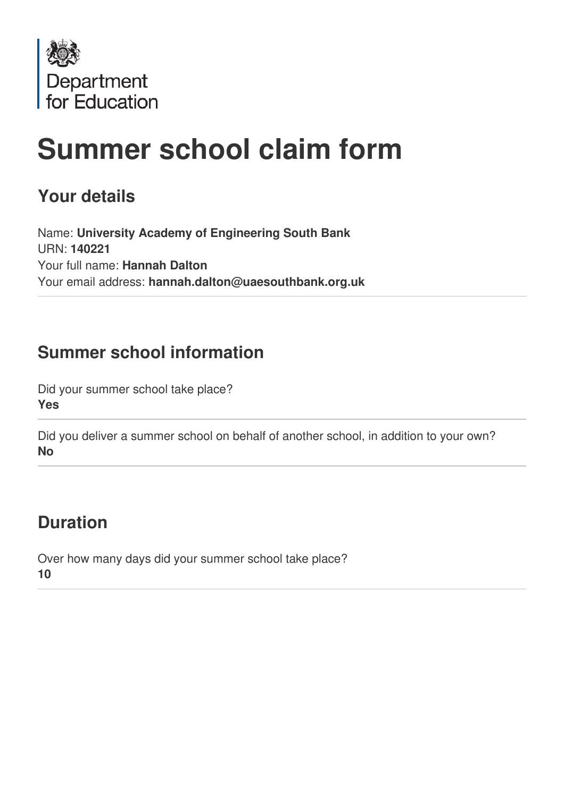

# **Summer school claim form**

# **Your details**

Name: **University Academy of Engineering South Bank** URN: **140221** Your full name: **Hannah Dalton** Your email address: **hannah.dalton@uaesouthbank.org.uk**

# **Summer school information**

Did your summer school take place? **Yes**

Did you deliver a summer school on behalf of another school, in addition to your own? **No**

# **Duration**

Over how many days did your summer school take place? **10**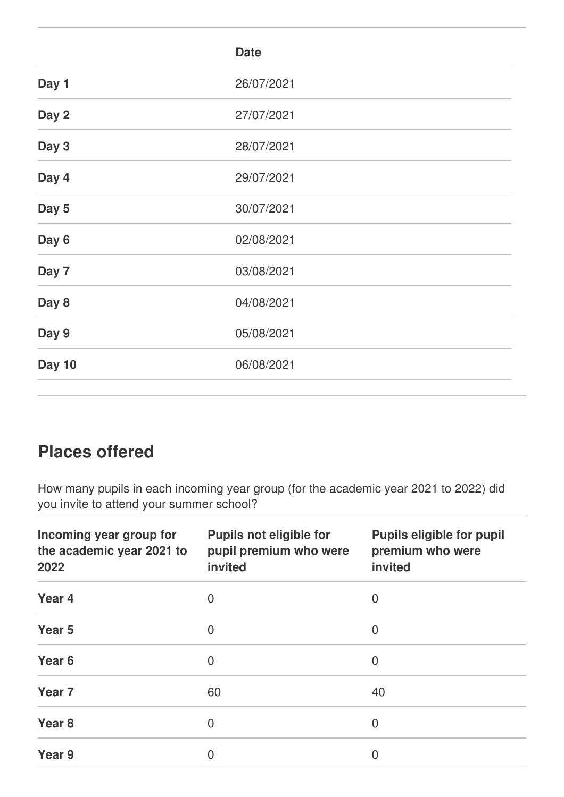|               | <b>Date</b> |  |
|---------------|-------------|--|
| Day 1         | 26/07/2021  |  |
| Day 2         | 27/07/2021  |  |
| Day 3         | 28/07/2021  |  |
| Day 4         | 29/07/2021  |  |
| Day 5         | 30/07/2021  |  |
| Day 6         | 02/08/2021  |  |
| Day 7         | 03/08/2021  |  |
| Day 8         | 04/08/2021  |  |
| Day 9         | 05/08/2021  |  |
| <b>Day 10</b> | 06/08/2021  |  |
|               |             |  |

# **Places offered**

How many pupils in each incoming year group (for the academic year 2021 to 2022) did you invite to attend your summer school?

| Incoming year group for<br>the academic year 2021 to<br>2022 | <b>Pupils not eligible for</b><br>pupil premium who were<br>invited | <b>Pupils eligible for pupil</b><br>premium who were<br>invited |
|--------------------------------------------------------------|---------------------------------------------------------------------|-----------------------------------------------------------------|
| Year <sub>4</sub>                                            | 0                                                                   | $\overline{0}$                                                  |
| Year <sub>5</sub>                                            | $\overline{0}$                                                      | $\overline{0}$                                                  |
| Year <sub>6</sub>                                            | $\overline{0}$                                                      | $\overline{0}$                                                  |
| Year <sub>7</sub>                                            | 60                                                                  | 40                                                              |
| Year <sub>8</sub>                                            | 0                                                                   | $\overline{0}$                                                  |
| Year 9                                                       | $\overline{0}$                                                      | $\overline{0}$                                                  |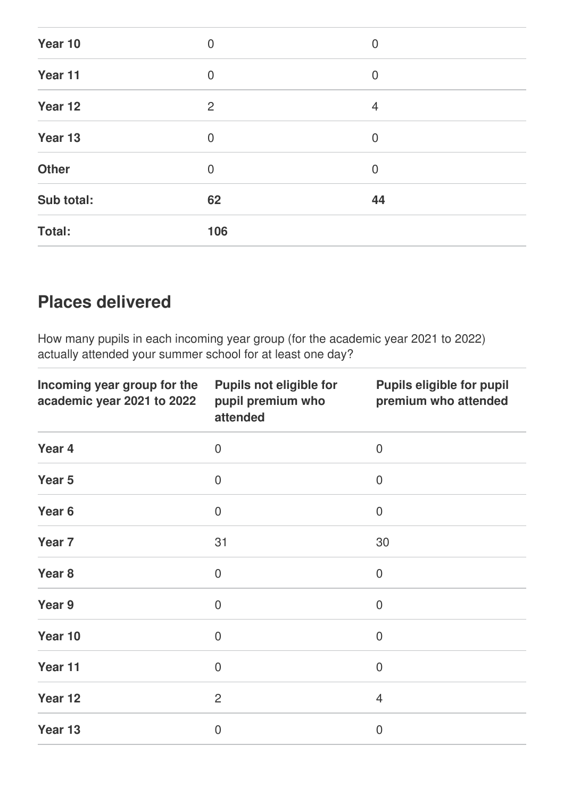| <b>Total:</b> | 106            |                |  |
|---------------|----------------|----------------|--|
| Sub total:    | 62             | 44             |  |
| <b>Other</b>  | $\mathbf 0$    | $\mathbf 0$    |  |
| Year 13       | $\mathbf 0$    | $\mathbf 0$    |  |
| Year 12       | $\overline{2}$ | $\overline{4}$ |  |
| Year 11       | $\mathbf 0$    | $\mathbf 0$    |  |
| Year 10       | $\mathbf 0$    | $\mathbf 0$    |  |

# **Places delivered**

How many pupils in each incoming year group (for the academic year 2021 to 2022) actually attended your summer school for at least one day?

| Incoming year group for the<br>academic year 2021 to 2022 | <b>Pupils not eligible for</b><br>pupil premium who<br>attended | <b>Pupils eligible for pupil</b><br>premium who attended |
|-----------------------------------------------------------|-----------------------------------------------------------------|----------------------------------------------------------|
| Year 4                                                    | $\overline{0}$                                                  | $\overline{0}$                                           |
| Year 5                                                    | $\overline{0}$                                                  | $\boldsymbol{0}$                                         |
| Year <sub>6</sub>                                         | $\overline{0}$                                                  | $\mathbf 0$                                              |
| Year <sub>7</sub>                                         | 31                                                              | 30                                                       |
| Year <sub>8</sub>                                         | $\mathbf 0$                                                     | $\overline{0}$                                           |
| Year 9                                                    | $\overline{0}$                                                  | $\overline{0}$                                           |
| Year 10                                                   | $\overline{0}$                                                  | $\boldsymbol{0}$                                         |
| Year 11                                                   | $\overline{0}$                                                  | $\overline{0}$                                           |
| Year 12                                                   | $\overline{2}$                                                  | $\overline{4}$                                           |
| Year 13                                                   | $\overline{0}$                                                  | $\mathbf 0$                                              |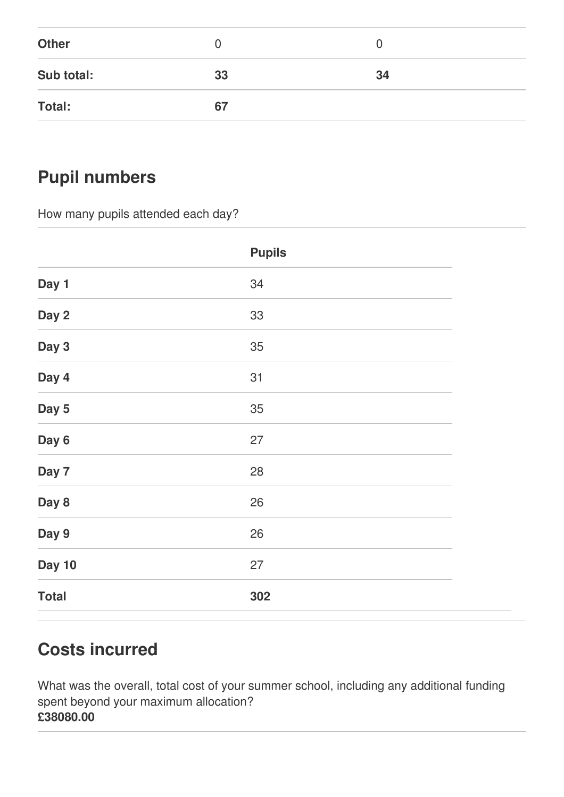| <b>Other</b> |    | O  |
|--------------|----|----|
| Sub total:   | 33 | 34 |
| Total:       | 67 |    |

# **Pupil numbers**

How many pupils attended each day?

|               | <b>Pupils</b> |
|---------------|---------------|
| Day 1         | 34            |
| Day 2         | 33            |
| Day 3         | 35            |
| Day 4         | 31            |
| Day 5         | 35            |
| Day 6         | 27            |
| Day 7         | 28            |
| Day 8         | 26            |
| Day 9         | 26            |
| <b>Day 10</b> | 27            |
| <b>Total</b>  | 302           |

# **Costs incurred**

What was the overall, total cost of your summer school, including any additional funding spent beyond your maximum allocation? **£38080.00**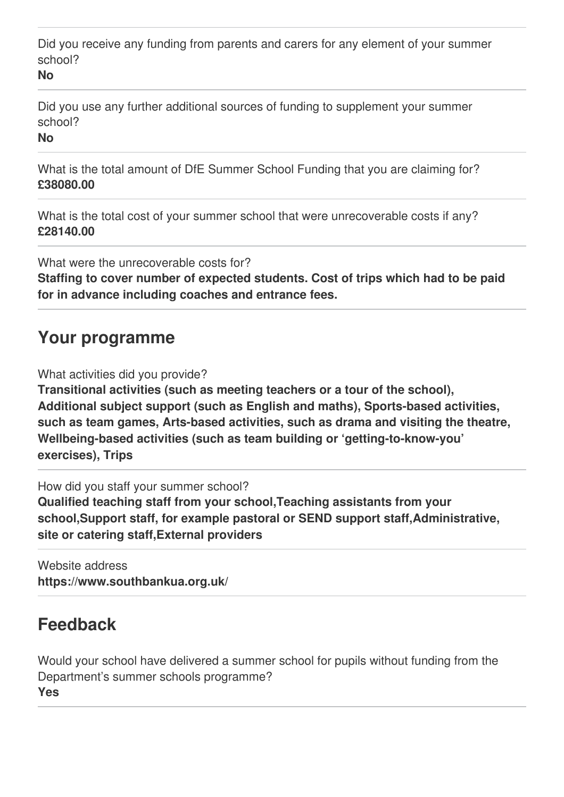Did you receive any funding from parents and carers for any element of your summer school?

**No**

Did you use any further additional sources of funding to supplement your summer school?

**No**

What is the total amount of DfE Summer School Funding that you are claiming for? **£38080.00**

What is the total cost of your summer school that were unrecoverable costs if any? **£28140.00**

What were the unrecoverable costs for?

**Staffing to cover number of expected students. Cost of trips which had to be paid for in advance including coaches and entrance fees.**

#### **Your programme**

What activities did you provide?

**Transitional activities (such as meeting teachers or a tour of the school), Additional subject support (such as English and maths), Sports-based activities, such as team games, Arts-based activities, such as drama and visiting the theatre, Wellbeing-based activities (such as team building or 'getting-to-know-you' exercises), Trips**

How did you staff your summer school?

**Qualified teaching staff from your school,Teaching assistants from your school,Support staff, for example pastoral or SEND support staff,Administrative, site or catering staff,External providers**

Website address **https://www.southbankua.org.uk/**

# **Feedback**

Would your school have delivered a summer school for pupils without funding from the Department's summer schools programme? **Yes**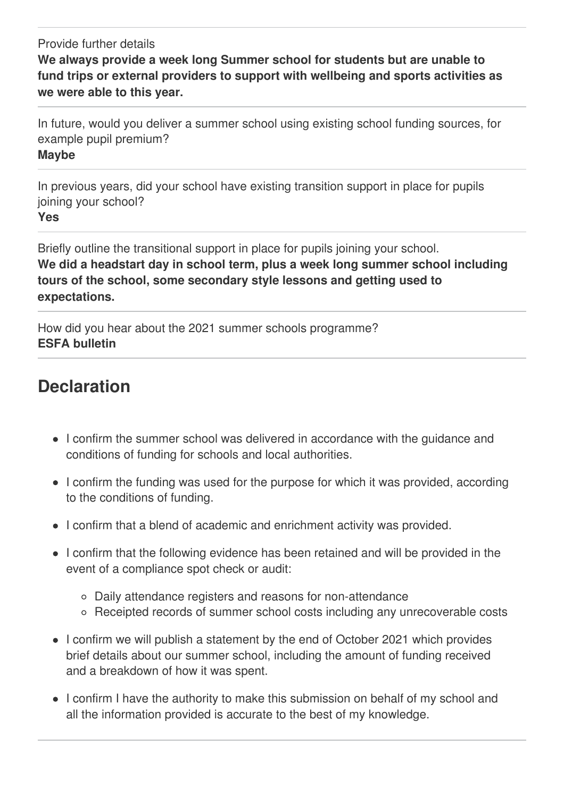Provide further details **We always provide a week long Summer school for students but are unable to fund trips or external providers to support with wellbeing and sports activities as we were able to this year.**

In future, would you deliver a summer school using existing school funding sources, for example pupil premium?

#### **Maybe**

In previous years, did your school have existing transition support in place for pupils joining your school? **Yes**

Briefly outline the transitional support in place for pupils joining your school. **We did a headstart day in school term, plus a week long summer school including tours of the school, some secondary style lessons and getting used to expectations.**

How did you hear about the 2021 summer schools programme? **ESFA bulletin**

# **Declaration**

- I confirm the summer school was delivered in accordance with the guidance and conditions of funding for schools and local authorities.
- I confirm the funding was used for the purpose for which it was provided, according to the conditions of funding.
- I confirm that a blend of academic and enrichment activity was provided.
- I confirm that the following evidence has been retained and will be provided in the event of a compliance spot check or audit:
	- Daily attendance registers and reasons for non-attendance
	- Receipted records of summer school costs including any unrecoverable costs
- I confirm we will publish a statement by the end of October 2021 which provides brief details about our summer school, including the amount of funding received and a breakdown of how it was spent.
- I confirm I have the authority to make this submission on behalf of my school and all the information provided is accurate to the best of my knowledge.